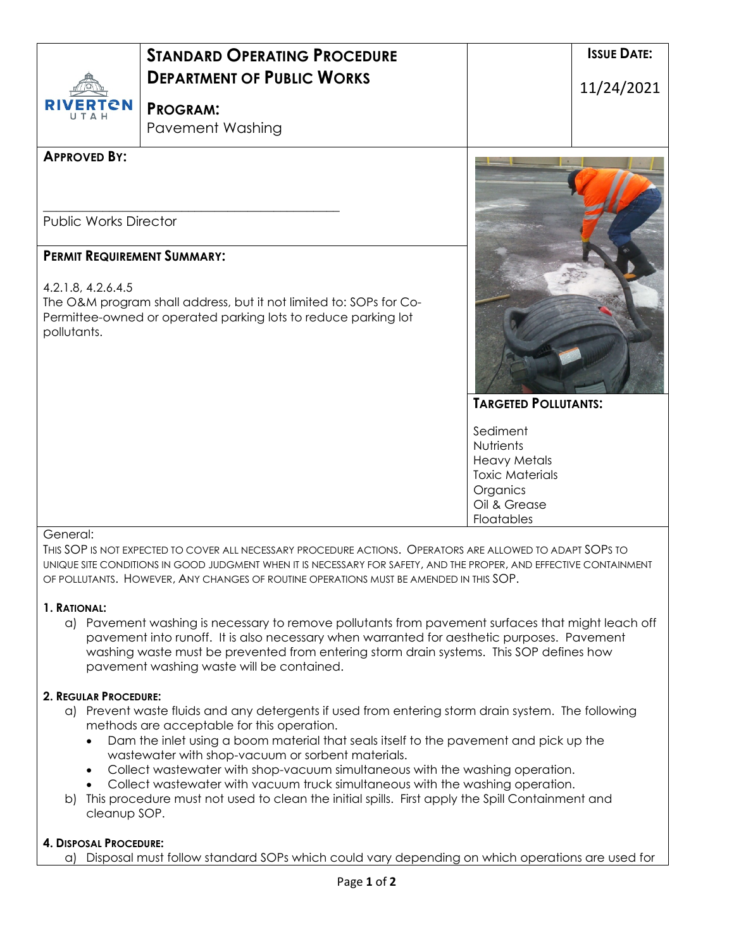| <b>RIVERTON</b><br>UTAH                                                                                                                                                                                         | <b>STANDARD OPERATING PROCEDURE</b><br><b>DEPARTMENT OF PUBLIC WORKS</b><br><b>PROGRAM:</b><br><b>Pavement Washing</b> |                                                                                                                                                 | <b>ISSUE DATE:</b><br>11/24/2021 |  |
|-----------------------------------------------------------------------------------------------------------------------------------------------------------------------------------------------------------------|------------------------------------------------------------------------------------------------------------------------|-------------------------------------------------------------------------------------------------------------------------------------------------|----------------------------------|--|
| <b>APPROVED BY:</b><br><b>Public Works Director</b>                                                                                                                                                             |                                                                                                                        |                                                                                                                                                 |                                  |  |
| <b>PERMIT REQUIREMENT SUMMARY:</b><br>4.2.1.8, 4.2.6.4.5<br>The O&M program shall address, but it not limited to: SOPs for Co-<br>Permittee-owned or operated parking lots to reduce parking lot<br>pollutants. |                                                                                                                        |                                                                                                                                                 |                                  |  |
|                                                                                                                                                                                                                 |                                                                                                                        | <b>TARGETED POLLUTANTS:</b><br>Sediment<br>Nutrients<br><b>Heavy Metals</b><br><b>Toxic Materials</b><br>Organics<br>Oil & Grease<br>Floatables |                                  |  |

#### General:

THIS SOP IS NOT EXPECTED TO COVER ALL NECESSARY PROCEDURE ACTIONS. OPERATORS ARE ALLOWED TO ADAPT SOPS TO UNIQUE SITE CONDITIONS IN GOOD JUDGMENT WHEN IT IS NECESSARY FOR SAFETY, AND THE PROPER, AND EFFECTIVE CONTAINMENT OF POLLUTANTS. HOWEVER, ANY CHANGES OF ROUTINE OPERATIONS MUST BE AMENDED IN THIS SOP.

#### **1. RATIONAL:**

a) Pavement washing is necessary to remove pollutants from pavement surfaces that might leach off pavement into runoff. It is also necessary when warranted for aesthetic purposes. Pavement washing waste must be prevented from entering storm drain systems. This SOP defines how pavement washing waste will be contained.

#### **2. REGULAR PROCEDURE:**

- a) Prevent waste fluids and any detergents if used from entering storm drain system. The following methods are acceptable for this operation.
	- Dam the inlet using a boom material that seals itself to the pavement and pick up the wastewater with shop-vacuum or sorbent materials.
	- Collect wastewater with shop-vacuum simultaneous with the washing operation.
	- Collect wastewater with vacuum truck simultaneous with the washing operation.
- b) This procedure must not used to clean the initial spills. First apply the Spill Containment and cleanup SOP.

## **4. DISPOSAL PROCEDURE:**

a) Disposal must follow standard SOPs which could vary depending on which operations are used for